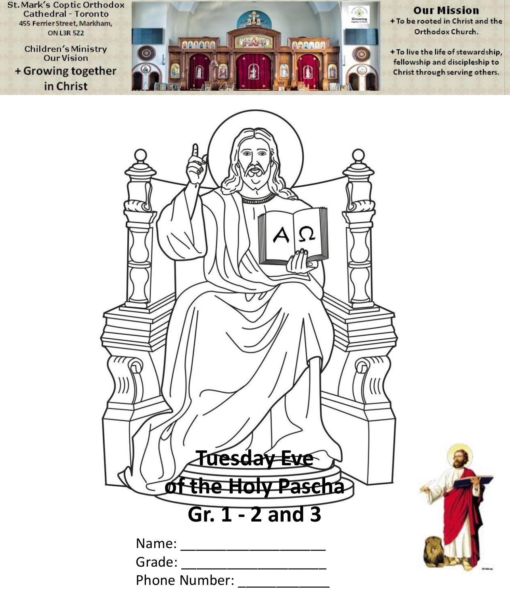**St. Mark's Coptic Orthodox Cathedral - Toronto** 455 Ferrier Street, Markham, **ON L3R 5Z2** 

**Children's Ministry Our Vision** + Growing together in Christ



#### **Our Mission** + To be rooted in Christ and the

Orthodox Church.

+ To live the life of stewardship, fellowship and discipleship to Christ through serving others.



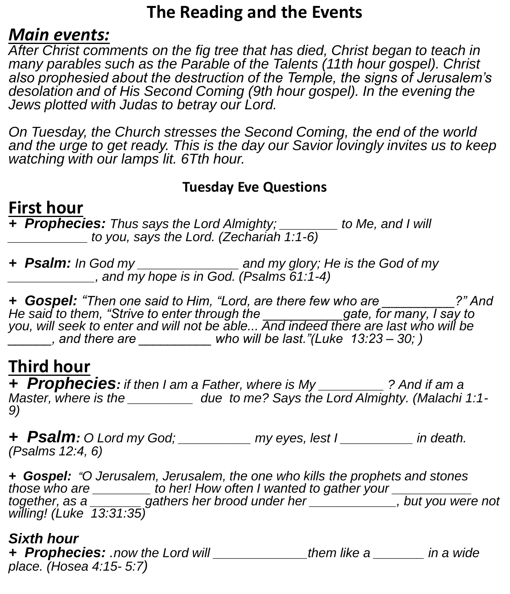### **The Reading and the Events**

#### *Main events:*

*After Christ comments on the fig tree that has died, Christ began to teach in many parables such as the Parable of the Talents (11th hour gospel). Christ also prophesied about the destruction of the Temple, the signs of Jerusalem's*  desolation and of His Second Coming (9th hour gospel). In the evening the *Jews plotted with Judas to betray our Lord.* 

*On Tuesday, the Church stresses the Second Coming, the end of the world and the urge to get ready. This is the day our Savior lovingly invites us to keep watching with our lamps lit. 6Tth hour.*

#### **Tuesday Eve Questions**

### **First hour**

*+ Prophecies: Thus says the Lord Almighty; \_\_\_\_\_\_\_\_ to Me, and I will \_\_\_\_\_\_\_\_\_\_\_ to you, says the Lord. (Zechariah 1:1-6)*

*+ Psalm: In God my \_\_\_\_\_\_\_\_\_\_\_\_\_\_ and my glory; He is the God of my \_\_\_\_\_\_\_\_\_\_\_\_, and my hope is in God. (Psalms 61:1-4)*

*+ Gospel: "Then one said to Him, "Lord, are there few who are \_\_\_\_\_\_\_\_\_\_?" And He said to them, "Strive to enter through the \_\_\_\_\_\_\_\_\_\_\_gate, for many, I say to you, will seek to enter and will not be able... And indeed there are last who will be \_\_\_\_\_\_, and there are \_\_\_\_\_\_\_\_\_\_ who will be last."(Luke 13:23 – 30; )*

#### **Third hour**

*+ Prophecies: if then I am a Father, where is My \_\_\_\_\_\_\_\_\_ ? And if am a Master, where is the*  $\frac{1}{2}$  due to me? Says the Lord Almighty. (Malachi 1:1-*9)*

*+ Psalm: O Lord my God; \_\_\_\_\_\_\_\_\_\_ my eyes, lest I \_\_\_\_\_\_\_\_\_\_ in death. (Psalms 12:4, 6)*

*+ Gospel: "O Jerusalem, Jerusalem, the one who kills the prophets and stones those who are \_\_\_\_\_\_\_\_ to her! How often I wanted to gather your \_\_\_\_\_\_\_\_\_\_\_ together, as a \_\_\_\_\_\_\_ gathers her brood under her \_\_\_\_\_\_\_\_\_\_\_\_, but you were not willing! (Luke 13:31:35)*

#### *Sixth hour*

*+ Prophecies: .now the Lord will \_\_\_\_\_\_\_\_\_\_\_\_\_them like a \_\_\_\_\_\_\_ in a wide place. (Hosea 4:15- 5:7)*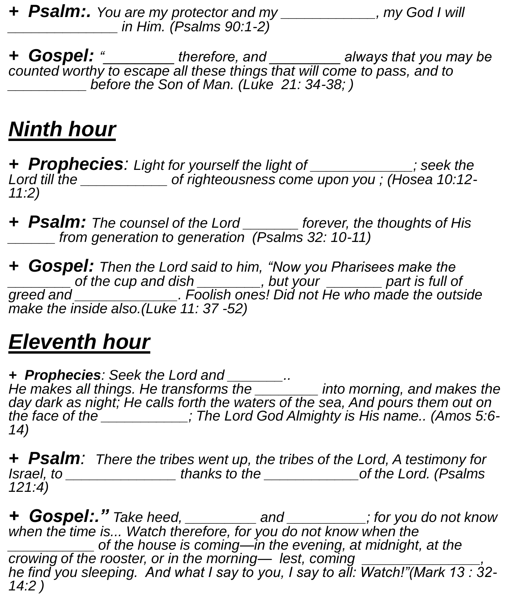*+ Psalm:. You are my protector and my \_\_\_\_\_\_\_\_\_\_\_\_, my God I will \_\_\_\_\_\_\_\_\_\_\_\_\_\_ in Him. (Psalms 90:1-2)*

*+ Gospel: "\_\_\_\_\_\_\_\_\_ therefore, and \_\_\_\_\_\_\_\_\_ always that you may be counted worthy to escape all these things that will come to pass, and to \_\_\_\_\_\_\_\_\_\_ before the Son of Man. (Luke 21: 34-38; )*

# *Ninth hour*

*+ Prophecies: Light for yourself the light of \_\_\_\_\_\_\_\_\_\_\_\_\_; seek the Lord till the \_\_\_\_\_\_\_\_\_\_\_ of righteousness come upon you ; (Hosea 10:12- 11:2)*

*+ Psalm: The counsel of the Lord \_\_\_\_\_\_\_ forever, the thoughts of His \_\_\_\_\_\_ from generation to generation (Psalms 32: 10-11)*

*+ Gospel: Then the Lord said to him, "Now you Pharisees make the \_\_\_\_\_\_\_\_ of the cup and dish \_\_\_\_\_\_\_\_, but your \_\_\_\_\_\_\_ part is full of greed and \_\_\_\_\_\_\_\_\_\_\_\_\_. Foolish ones! Did not He who made the outside make the inside also.(Luke 11: 37 -52)*

# *Eleventh hour*

*+ Prophecies: Seek the Lord and \_\_\_\_\_\_\_.. He makes all things. He transforms the \_\_\_\_\_\_\_\_ into morning, and makes the day dark as night; He calls forth the waters of the sea, And pours them out on* 

*the face of the \_\_\_\_\_\_\_\_\_\_\_; The Lord God Almighty is His name.. (Amos 5:6- 14)*

*+ Psalm: There the tribes went up, the tribes of the Lord, A testimony for Israel, to \_\_\_\_\_\_\_\_\_\_\_\_\_\_ thanks to the \_\_\_\_\_\_\_\_\_\_\_\_of the Lord. (Psalms 121:4)*

*+ Gospel:." Take heed, \_\_\_\_\_\_\_\_\_ and \_\_\_\_\_\_\_\_\_\_; for you do not know when the time is... Watch therefore, for you do not know when the \_\_\_\_\_\_\_\_\_\_\_ of the house is coming—in the evening, at midnight, at the crowing of the rooster, or in the morning— lest, coming he find you sleeping. And what I say to you, I say to all: Watch!"(Mark 13 : 32- 14:2 )*